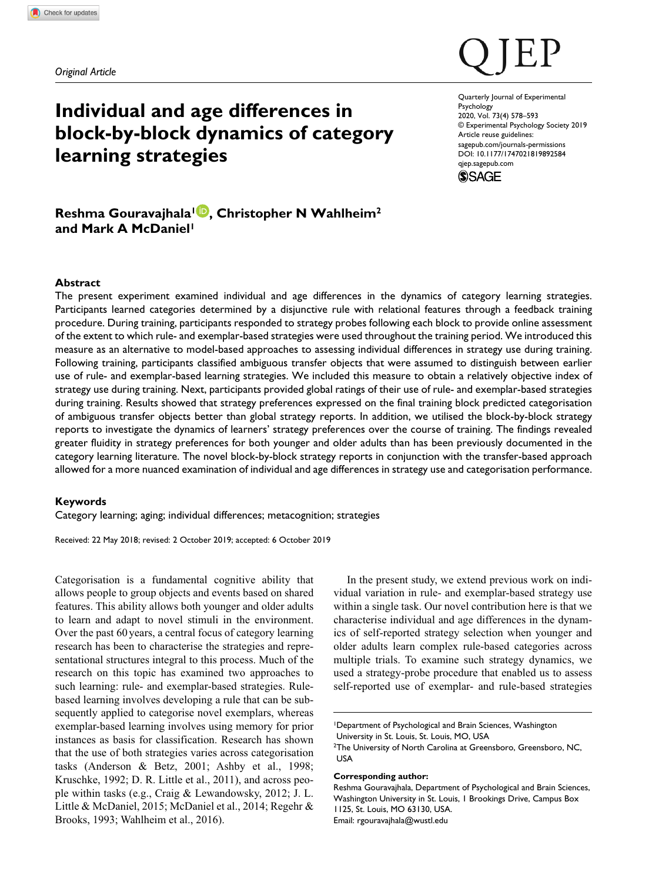*Original Article*

# **Individual and age differences in block-by-block dynamics of category learning strategies**

DOI: 10.1177/1747021819892584 Quarterly Journal of Experimental **Psychology** 2020, Vol. 73(4) 578–593 © Experimental Psychology Society 2019 Article reuse guidelines: [sagepub.com/journals-permissions](https://uk.sagepub.com/en-gb/journals-permissions) [qjep.sagepub.com](http://qjep.sagepub.com)



## **Reshma Gouravajhala1 , Christopher N Wahlheim2** and Mark A McDaniel<sup>1</sup>

## **Abstract**

The present experiment examined individual and age differences in the dynamics of category learning strategies. Participants learned categories determined by a disjunctive rule with relational features through a feedback training procedure. During training, participants responded to strategy probes following each block to provide online assessment of the extent to which rule- and exemplar-based strategies were used throughout the training period. We introduced this measure as an alternative to model-based approaches to assessing individual differences in strategy use during training. Following training, participants classified ambiguous transfer objects that were assumed to distinguish between earlier use of rule- and exemplar-based learning strategies. We included this measure to obtain a relatively objective index of strategy use during training. Next, participants provided global ratings of their use of rule- and exemplar-based strategies during training. Results showed that strategy preferences expressed on the final training block predicted categorisation of ambiguous transfer objects better than global strategy reports. In addition, we utilised the block-by-block strategy reports to investigate the dynamics of learners' strategy preferences over the course of training. The findings revealed greater fluidity in strategy preferences for both younger and older adults than has been previously documented in the category learning literature. The novel block-by-block strategy reports in conjunction with the transfer-based approach allowed for a more nuanced examination of individual and age differences in strategy use and categorisation performance.

## **Keywords**

Category learning; aging; individual differences; metacognition; strategies

Received: 22 May 2018; revised: 2 October 2019; accepted: 6 October 2019

Categorisation is a fundamental cognitive ability that allows people to group objects and events based on shared features. This ability allows both younger and older adults to learn and adapt to novel stimuli in the environment. Over the past 60 years, a central focus of category learning research has been to characterise the strategies and representational structures integral to this process. Much of the research on this topic has examined two approaches to such learning: rule- and exemplar-based strategies. Rulebased learning involves developing a rule that can be subsequently applied to categorise novel exemplars, whereas exemplar-based learning involves using memory for prior instances as basis for classification. Research has shown that the use of both strategies varies across categorisation tasks (Anderson & Betz, 2001; Ashby et al., 1998; Kruschke, 1992; D. R. Little et al., 2011), and across people within tasks (e.g., Craig & Lewandowsky, 2012; J. L. Little & McDaniel, 2015; McDaniel et al., 2014; Regehr & Brooks, 1993; Wahlheim et al., 2016).

In the present study, we extend previous work on individual variation in rule- and exemplar-based strategy use within a single task. Our novel contribution here is that we characterise individual and age differences in the dynamics of self-reported strategy selection when younger and older adults learn complex rule-based categories across multiple trials. To examine such strategy dynamics, we used a strategy-probe procedure that enabled us to assess self-reported use of exemplar- and rule-based strategies

1Department of Psychological and Brain Sciences, Washington University in St. Louis, St. Louis, MO, USA

#### **Corresponding author:**

Reshma Gouravajhala, Department of Psychological and Brain Sciences, Washington University in St. Louis, 1 Brookings Drive, Campus Box 1125, St. Louis, MO 63130, USA. Email: [rgouravajhala@wustl.edu](mailto:rgouravajhala@wustl.edu)

<sup>2</sup>The University of North Carolina at Greensboro, Greensboro, NC, USA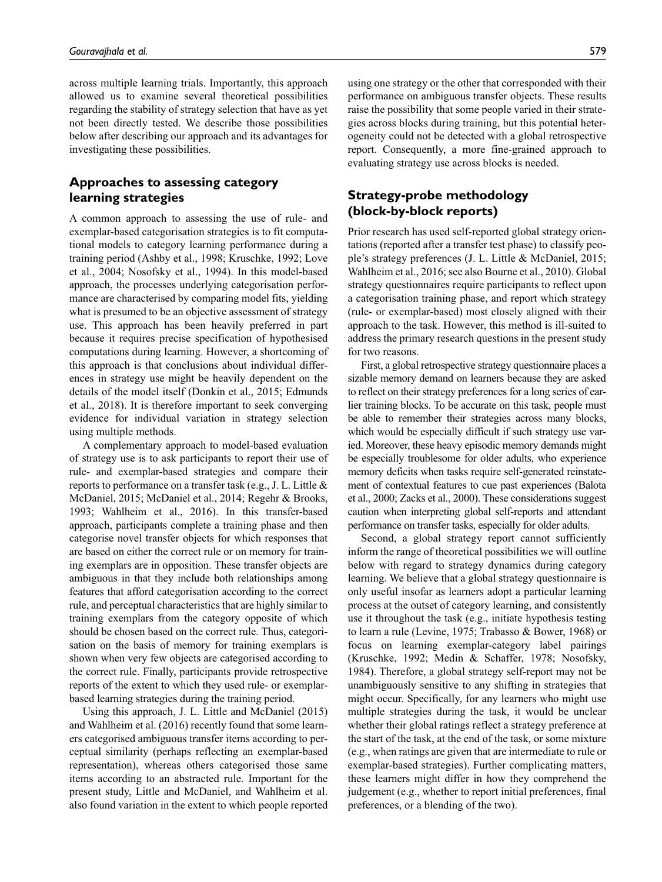across multiple learning trials. Importantly, this approach allowed us to examine several theoretical possibilities regarding the stability of strategy selection that have as yet not been directly tested. We describe those possibilities below after describing our approach and its advantages for investigating these possibilities.

## **Approaches to assessing category learning strategies**

A common approach to assessing the use of rule- and exemplar-based categorisation strategies is to fit computational models to category learning performance during a training period (Ashby et al., 1998; Kruschke, 1992; Love et al., 2004; Nosofsky et al., 1994). In this model-based approach, the processes underlying categorisation performance are characterised by comparing model fits, yielding what is presumed to be an objective assessment of strategy use. This approach has been heavily preferred in part because it requires precise specification of hypothesised computations during learning. However, a shortcoming of this approach is that conclusions about individual differences in strategy use might be heavily dependent on the details of the model itself (Donkin et al., 2015; Edmunds et al., 2018). It is therefore important to seek converging evidence for individual variation in strategy selection using multiple methods.

A complementary approach to model-based evaluation of strategy use is to ask participants to report their use of rule- and exemplar-based strategies and compare their reports to performance on a transfer task (e.g., J. L. Little & McDaniel, 2015; McDaniel et al., 2014; Regehr & Brooks, 1993; Wahlheim et al., 2016). In this transfer-based approach, participants complete a training phase and then categorise novel transfer objects for which responses that are based on either the correct rule or on memory for training exemplars are in opposition. These transfer objects are ambiguous in that they include both relationships among features that afford categorisation according to the correct rule, and perceptual characteristics that are highly similar to training exemplars from the category opposite of which should be chosen based on the correct rule. Thus, categorisation on the basis of memory for training exemplars is shown when very few objects are categorised according to the correct rule. Finally, participants provide retrospective reports of the extent to which they used rule- or exemplarbased learning strategies during the training period.

Using this approach, J. L. Little and McDaniel (2015) and Wahlheim et al. (2016) recently found that some learners categorised ambiguous transfer items according to perceptual similarity (perhaps reflecting an exemplar-based representation), whereas others categorised those same items according to an abstracted rule. Important for the present study, Little and McDaniel, and Wahlheim et al. also found variation in the extent to which people reported using one strategy or the other that corresponded with their performance on ambiguous transfer objects. These results raise the possibility that some people varied in their strategies across blocks during training, but this potential heterogeneity could not be detected with a global retrospective report. Consequently, a more fine-grained approach to evaluating strategy use across blocks is needed.

## **Strategy-probe methodology (block-by-block reports)**

Prior research has used self-reported global strategy orientations (reported after a transfer test phase) to classify people's strategy preferences (J. L. Little & McDaniel, 2015; Wahlheim et al., 2016; see also Bourne et al., 2010). Global strategy questionnaires require participants to reflect upon a categorisation training phase, and report which strategy (rule- or exemplar-based) most closely aligned with their approach to the task. However, this method is ill-suited to address the primary research questions in the present study for two reasons.

First, a global retrospective strategy questionnaire places a sizable memory demand on learners because they are asked to reflect on their strategy preferences for a long series of earlier training blocks. To be accurate on this task, people must be able to remember their strategies across many blocks, which would be especially difficult if such strategy use varied. Moreover, these heavy episodic memory demands might be especially troublesome for older adults, who experience memory deficits when tasks require self-generated reinstatement of contextual features to cue past experiences (Balota et al., 2000; Zacks et al., 2000). These considerations suggest caution when interpreting global self-reports and attendant performance on transfer tasks, especially for older adults.

Second, a global strategy report cannot sufficiently inform the range of theoretical possibilities we will outline below with regard to strategy dynamics during category learning. We believe that a global strategy questionnaire is only useful insofar as learners adopt a particular learning process at the outset of category learning, and consistently use it throughout the task (e.g., initiate hypothesis testing to learn a rule (Levine, 1975; Trabasso & Bower, 1968) or focus on learning exemplar-category label pairings (Kruschke, 1992; Medin & Schaffer, 1978; Nosofsky, 1984). Therefore, a global strategy self-report may not be unambiguously sensitive to any shifting in strategies that might occur. Specifically, for any learners who might use multiple strategies during the task, it would be unclear whether their global ratings reflect a strategy preference at the start of the task, at the end of the task, or some mixture (e.g., when ratings are given that are intermediate to rule or exemplar-based strategies). Further complicating matters, these learners might differ in how they comprehend the judgement (e.g., whether to report initial preferences, final preferences, or a blending of the two).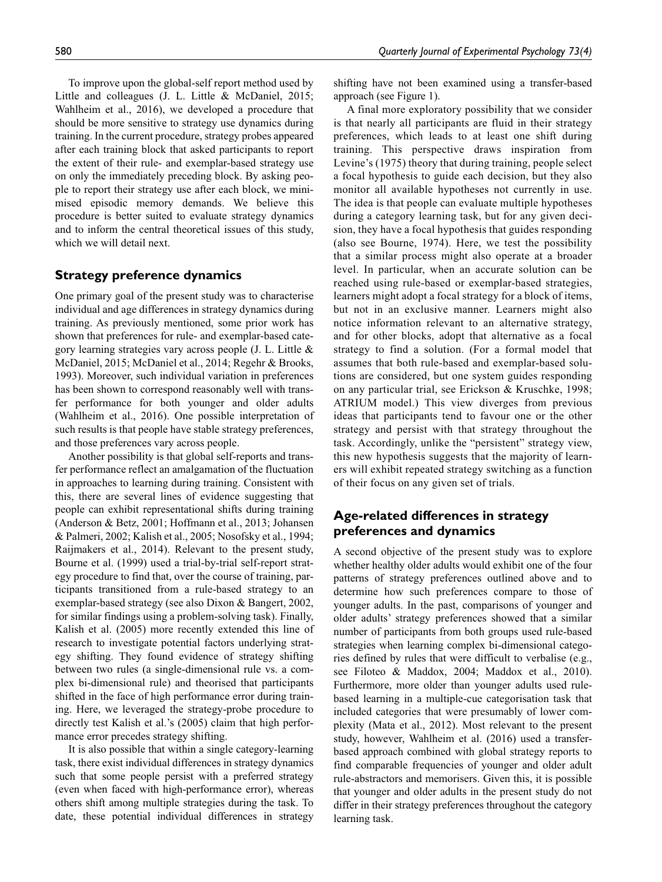To improve upon the global-self report method used by Little and colleagues (J. L. Little & McDaniel, 2015; Wahlheim et al., 2016), we developed a procedure that should be more sensitive to strategy use dynamics during training. In the current procedure, strategy probes appeared after each training block that asked participants to report the extent of their rule- and exemplar-based strategy use on only the immediately preceding block. By asking people to report their strategy use after each block, we minimised episodic memory demands. We believe this procedure is better suited to evaluate strategy dynamics and to inform the central theoretical issues of this study, which we will detail next.

## **Strategy preference dynamics**

One primary goal of the present study was to characterise individual and age differences in strategy dynamics during training. As previously mentioned, some prior work has shown that preferences for rule- and exemplar-based category learning strategies vary across people (J. L. Little & McDaniel, 2015; McDaniel et al., 2014; Regehr & Brooks, 1993). Moreover, such individual variation in preferences has been shown to correspond reasonably well with transfer performance for both younger and older adults (Wahlheim et al., 2016). One possible interpretation of such results is that people have stable strategy preferences, and those preferences vary across people.

Another possibility is that global self-reports and transfer performance reflect an amalgamation of the fluctuation in approaches to learning during training. Consistent with this, there are several lines of evidence suggesting that people can exhibit representational shifts during training (Anderson & Betz, 2001; Hoffmann et al., 2013; Johansen & Palmeri, 2002; Kalish et al., 2005; Nosofsky et al., 1994; Raijmakers et al., 2014). Relevant to the present study, Bourne et al. (1999) used a trial-by-trial self-report strategy procedure to find that, over the course of training, participants transitioned from a rule-based strategy to an exemplar-based strategy (see also Dixon & Bangert, 2002, for similar findings using a problem-solving task). Finally, Kalish et al. (2005) more recently extended this line of research to investigate potential factors underlying strategy shifting. They found evidence of strategy shifting between two rules (a single-dimensional rule vs. a complex bi-dimensional rule) and theorised that participants shifted in the face of high performance error during training. Here, we leveraged the strategy-probe procedure to directly test Kalish et al.'s (2005) claim that high performance error precedes strategy shifting.

It is also possible that within a single category-learning task, there exist individual differences in strategy dynamics such that some people persist with a preferred strategy (even when faced with high-performance error), whereas others shift among multiple strategies during the task. To date, these potential individual differences in strategy

shifting have not been examined using a transfer-based approach (see Figure 1).

A final more exploratory possibility that we consider is that nearly all participants are fluid in their strategy preferences, which leads to at least one shift during training. This perspective draws inspiration from Levine's (1975) theory that during training, people select a focal hypothesis to guide each decision, but they also monitor all available hypotheses not currently in use. The idea is that people can evaluate multiple hypotheses during a category learning task, but for any given decision, they have a focal hypothesis that guides responding (also see Bourne, 1974). Here, we test the possibility that a similar process might also operate at a broader level. In particular, when an accurate solution can be reached using rule-based or exemplar-based strategies, learners might adopt a focal strategy for a block of items, but not in an exclusive manner. Learners might also notice information relevant to an alternative strategy, and for other blocks, adopt that alternative as a focal strategy to find a solution. (For a formal model that assumes that both rule-based and exemplar-based solutions are considered, but one system guides responding on any particular trial, see Erickson & Kruschke, 1998; ATRIUM model.) This view diverges from previous ideas that participants tend to favour one or the other strategy and persist with that strategy throughout the task. Accordingly, unlike the "persistent" strategy view, this new hypothesis suggests that the majority of learners will exhibit repeated strategy switching as a function of their focus on any given set of trials.

## **Age-related differences in strategy preferences and dynamics**

A second objective of the present study was to explore whether healthy older adults would exhibit one of the four patterns of strategy preferences outlined above and to determine how such preferences compare to those of younger adults. In the past, comparisons of younger and older adults' strategy preferences showed that a similar number of participants from both groups used rule-based strategies when learning complex bi-dimensional categories defined by rules that were difficult to verbalise (e.g., see Filoteo & Maddox, 2004; Maddox et al., 2010). Furthermore, more older than younger adults used rulebased learning in a multiple-cue categorisation task that included categories that were presumably of lower complexity (Mata et al., 2012). Most relevant to the present study, however, Wahlheim et al. (2016) used a transferbased approach combined with global strategy reports to find comparable frequencies of younger and older adult rule-abstractors and memorisers. Given this, it is possible that younger and older adults in the present study do not differ in their strategy preferences throughout the category learning task.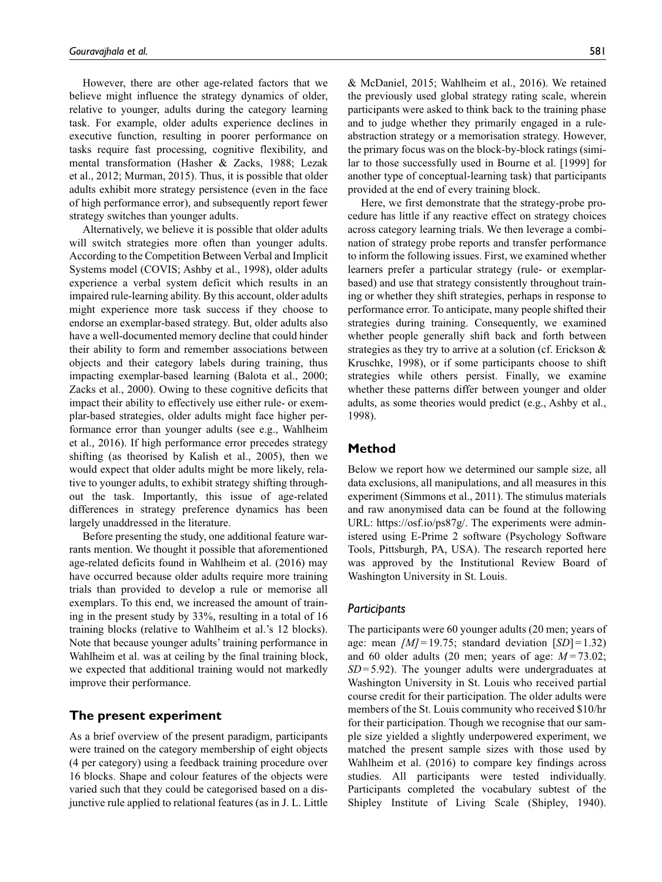However, there are other age-related factors that we believe might influence the strategy dynamics of older, relative to younger, adults during the category learning task. For example, older adults experience declines in executive function, resulting in poorer performance on tasks require fast processing, cognitive flexibility, and mental transformation (Hasher & Zacks, 1988; Lezak et al., 2012; Murman, 2015). Thus, it is possible that older adults exhibit more strategy persistence (even in the face of high performance error), and subsequently report fewer strategy switches than younger adults.

Alternatively, we believe it is possible that older adults will switch strategies more often than younger adults. According to the Competition Between Verbal and Implicit Systems model (COVIS; Ashby et al., 1998), older adults experience a verbal system deficit which results in an impaired rule-learning ability. By this account, older adults might experience more task success if they choose to endorse an exemplar-based strategy. But, older adults also have a well-documented memory decline that could hinder their ability to form and remember associations between objects and their category labels during training, thus impacting exemplar-based learning (Balota et al., 2000; Zacks et al., 2000). Owing to these cognitive deficits that impact their ability to effectively use either rule- or exemplar-based strategies, older adults might face higher performance error than younger adults (see e.g., Wahlheim et al., 2016). If high performance error precedes strategy shifting (as theorised by Kalish et al., 2005), then we would expect that older adults might be more likely, relative to younger adults, to exhibit strategy shifting throughout the task. Importantly, this issue of age-related differences in strategy preference dynamics has been largely unaddressed in the literature.

Before presenting the study, one additional feature warrants mention. We thought it possible that aforementioned age-related deficits found in Wahlheim et al. (2016) may have occurred because older adults require more training trials than provided to develop a rule or memorise all exemplars. To this end, we increased the amount of training in the present study by 33%, resulting in a total of 16 training blocks (relative to Wahlheim et al.'s 12 blocks). Note that because younger adults' training performance in Wahlheim et al. was at ceiling by the final training block, we expected that additional training would not markedly improve their performance.

## **The present experiment**

As a brief overview of the present paradigm, participants were trained on the category membership of eight objects (4 per category) using a feedback training procedure over 16 blocks. Shape and colour features of the objects were varied such that they could be categorised based on a disjunctive rule applied to relational features (as in J. L. Little

& McDaniel, 2015; Wahlheim et al., 2016). We retained the previously used global strategy rating scale, wherein participants were asked to think back to the training phase and to judge whether they primarily engaged in a ruleabstraction strategy or a memorisation strategy. However, the primary focus was on the block-by-block ratings (similar to those successfully used in Bourne et al. [1999] for another type of conceptual-learning task) that participants provided at the end of every training block.

Here, we first demonstrate that the strategy-probe procedure has little if any reactive effect on strategy choices across category learning trials. We then leverage a combination of strategy probe reports and transfer performance to inform the following issues. First, we examined whether learners prefer a particular strategy (rule- or exemplarbased) and use that strategy consistently throughout training or whether they shift strategies, perhaps in response to performance error. To anticipate, many people shifted their strategies during training. Consequently, we examined whether people generally shift back and forth between strategies as they try to arrive at a solution (cf. Erickson & Kruschke, 1998), or if some participants choose to shift strategies while others persist. Finally, we examine whether these patterns differ between younger and older adults, as some theories would predict (e.g., Ashby et al., 1998).

## **Method**

Below we report how we determined our sample size, all data exclusions, all manipulations, and all measures in this experiment (Simmons et al., 2011). The stimulus materials and raw anonymised data can be found at the following URL: [https://osf.io/ps87g/.](https://osf.io/ps87g/) The experiments were administered using E-Prime 2 software (Psychology Software Tools, Pittsburgh, PA, USA). The research reported here was approved by the Institutional Review Board of Washington University in St. Louis.

#### *Participants*

The participants were 60 younger adults (20 men; years of age: mean *[M]*=19.75; standard deviation [*SD*]=1.32) and 60 older adults (20 men; years of age: *M=*73.02; *SD*=5.92). The younger adults were undergraduates at Washington University in St. Louis who received partial course credit for their participation. The older adults were members of the St. Louis community who received \$10/hr for their participation. Though we recognise that our sample size yielded a slightly underpowered experiment, we matched the present sample sizes with those used by Wahlheim et al. (2016) to compare key findings across studies. All participants were tested individually. Participants completed the vocabulary subtest of the Shipley Institute of Living Scale (Shipley, 1940).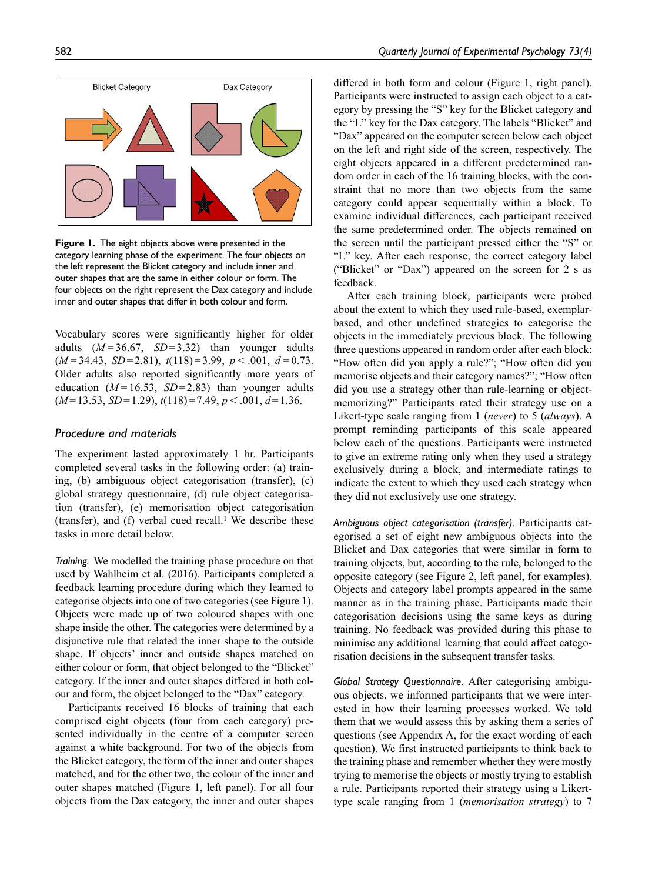

**Figure 1.** The eight objects above were presented in the category learning phase of the experiment. The four objects on the left represent the Blicket category and include inner and outer shapes that are the same in either colour or form. The four objects on the right represent the Dax category and include inner and outer shapes that differ in both colour and form.

Vocabulary scores were significantly higher for older adults (*M=*36.67, *SD*=3.32) than younger adults (*M=*34.43, *SD*=2.81), *t*(118)=3.99, *p*<.001, *d=*0.73. Older adults also reported significantly more years of education  $(M=16.53, SD=2.83)$  than younger adults (*M*=13.53, *SD*=1.29), *t*(118)=7.49, *p*<.001, *d*=1.36.

## *Procedure and materials*

The experiment lasted approximately 1 hr. Participants completed several tasks in the following order: (a) training, (b) ambiguous object categorisation (transfer), (c) global strategy questionnaire, (d) rule object categorisation (transfer), (e) memorisation object categorisation (transfer), and (f) verbal cued recall.<sup>1</sup> We describe these tasks in more detail below.

*Training.* We modelled the training phase procedure on that used by Wahlheim et al. (2016). Participants completed a feedback learning procedure during which they learned to categorise objects into one of two categories (see Figure 1). Objects were made up of two coloured shapes with one shape inside the other. The categories were determined by a disjunctive rule that related the inner shape to the outside shape. If objects' inner and outside shapes matched on either colour or form, that object belonged to the "Blicket" category. If the inner and outer shapes differed in both colour and form, the object belonged to the "Dax" category.

Participants received 16 blocks of training that each comprised eight objects (four from each category) presented individually in the centre of a computer screen against a white background. For two of the objects from the Blicket category, the form of the inner and outer shapes matched, and for the other two, the colour of the inner and outer shapes matched (Figure 1, left panel). For all four objects from the Dax category, the inner and outer shapes differed in both form and colour (Figure 1, right panel). Participants were instructed to assign each object to a category by pressing the "S" key for the Blicket category and the "L" key for the Dax category. The labels "Blicket" and "Dax" appeared on the computer screen below each object on the left and right side of the screen, respectively. The eight objects appeared in a different predetermined random order in each of the 16 training blocks, with the constraint that no more than two objects from the same category could appear sequentially within a block. To examine individual differences, each participant received the same predetermined order. The objects remained on the screen until the participant pressed either the "S" or "L" key. After each response, the correct category label ("Blicket" or "Dax") appeared on the screen for 2 s as feedback.

After each training block, participants were probed about the extent to which they used rule-based, exemplarbased, and other undefined strategies to categorise the objects in the immediately previous block. The following three questions appeared in random order after each block: "How often did you apply a rule?"; "How often did you memorise objects and their category names?"; "How often did you use a strategy other than rule-learning or objectmemorizing?" Participants rated their strategy use on a Likert-type scale ranging from 1 (*never*) to 5 (*always*). A prompt reminding participants of this scale appeared below each of the questions. Participants were instructed to give an extreme rating only when they used a strategy exclusively during a block, and intermediate ratings to indicate the extent to which they used each strategy when they did not exclusively use one strategy.

*Ambiguous object categorisation (transfer).* Participants categorised a set of eight new ambiguous objects into the Blicket and Dax categories that were similar in form to training objects, but, according to the rule, belonged to the opposite category (see Figure 2, left panel, for examples). Objects and category label prompts appeared in the same manner as in the training phase. Participants made their categorisation decisions using the same keys as during training. No feedback was provided during this phase to minimise any additional learning that could affect categorisation decisions in the subsequent transfer tasks.

*Global Strategy Questionnaire.* After categorising ambiguous objects, we informed participants that we were interested in how their learning processes worked. We told them that we would assess this by asking them a series of questions (see Appendix A, for the exact wording of each question). We first instructed participants to think back to the training phase and remember whether they were mostly trying to memorise the objects or mostly trying to establish a rule. Participants reported their strategy using a Likerttype scale ranging from 1 (*memorisation strategy*) to 7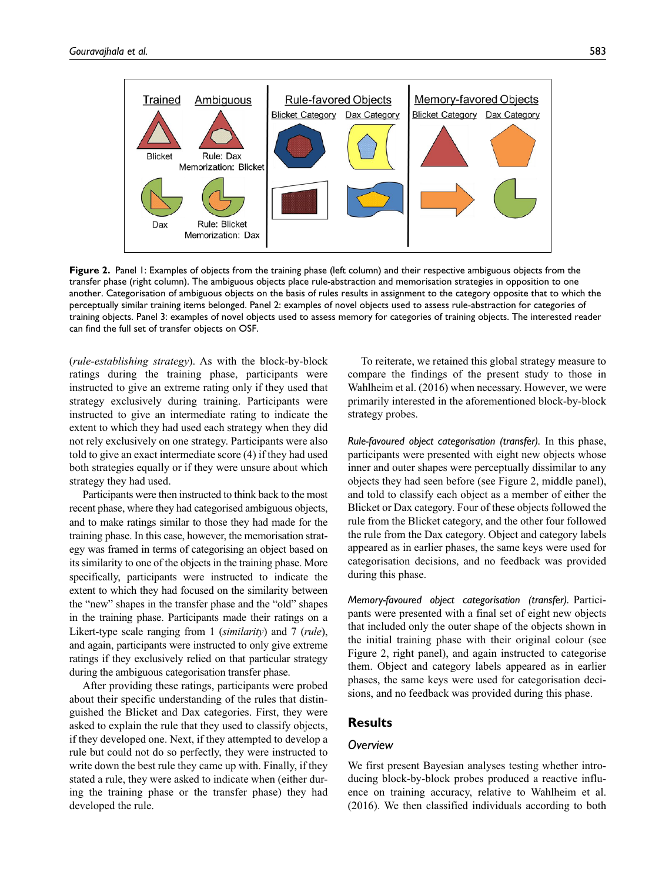

**Figure 2.** Panel 1: Examples of objects from the training phase (left column) and their respective ambiguous objects from the transfer phase (right column). The ambiguous objects place rule-abstraction and memorisation strategies in opposition to one another. Categorisation of ambiguous objects on the basis of rules results in assignment to the category opposite that to which the perceptually similar training items belonged. Panel 2: examples of novel objects used to assess rule-abstraction for categories of training objects. Panel 3: examples of novel objects used to assess memory for categories of training objects. The interested reader can find the full set of transfer objects on OSF.

(*rule-establishing strategy*). As with the block-by-block ratings during the training phase, participants were instructed to give an extreme rating only if they used that strategy exclusively during training. Participants were instructed to give an intermediate rating to indicate the extent to which they had used each strategy when they did not rely exclusively on one strategy. Participants were also told to give an exact intermediate score (4) if they had used both strategies equally or if they were unsure about which strategy they had used.

Participants were then instructed to think back to the most recent phase, where they had categorised ambiguous objects, and to make ratings similar to those they had made for the training phase. In this case, however, the memorisation strategy was framed in terms of categorising an object based on its similarity to one of the objects in the training phase. More specifically, participants were instructed to indicate the extent to which they had focused on the similarity between the "new" shapes in the transfer phase and the "old" shapes in the training phase. Participants made their ratings on a Likert-type scale ranging from 1 (*similarity*) and 7 (*rule*), and again, participants were instructed to only give extreme ratings if they exclusively relied on that particular strategy during the ambiguous categorisation transfer phase.

After providing these ratings, participants were probed about their specific understanding of the rules that distinguished the Blicket and Dax categories. First, they were asked to explain the rule that they used to classify objects, if they developed one. Next, if they attempted to develop a rule but could not do so perfectly, they were instructed to write down the best rule they came up with. Finally, if they stated a rule, they were asked to indicate when (either during the training phase or the transfer phase) they had developed the rule.

To reiterate, we retained this global strategy measure to compare the findings of the present study to those in Wahlheim et al. (2016) when necessary. However, we were primarily interested in the aforementioned block-by-block strategy probes.

*Rule-favoured object categorisation (transfer).* In this phase, participants were presented with eight new objects whose inner and outer shapes were perceptually dissimilar to any objects they had seen before (see Figure 2, middle panel), and told to classify each object as a member of either the Blicket or Dax category. Four of these objects followed the rule from the Blicket category, and the other four followed the rule from the Dax category. Object and category labels appeared as in earlier phases, the same keys were used for categorisation decisions, and no feedback was provided during this phase.

*Memory-favoured object categorisation (transfer).* Participants were presented with a final set of eight new objects that included only the outer shape of the objects shown in the initial training phase with their original colour (see Figure 2, right panel), and again instructed to categorise them. Object and category labels appeared as in earlier phases, the same keys were used for categorisation decisions, and no feedback was provided during this phase.

## **Results**

#### *Overview*

We first present Bayesian analyses testing whether introducing block-by-block probes produced a reactive influence on training accuracy, relative to Wahlheim et al. (2016). We then classified individuals according to both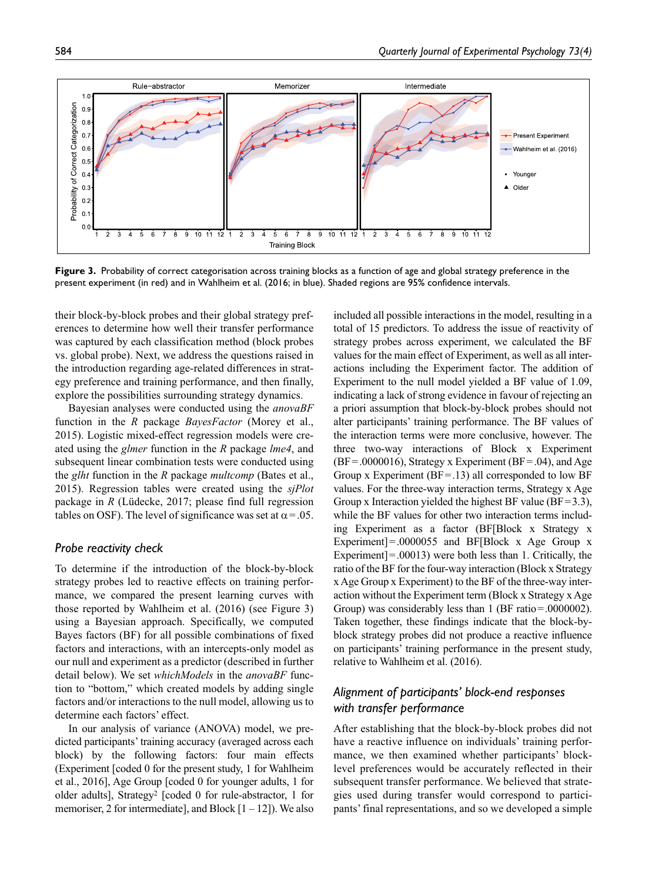

**Figure 3.** Probability of correct categorisation across training blocks as a function of age and global strategy preference in the present experiment (in red) and in Wahlheim et al. (2016; in blue). Shaded regions are 95% confidence intervals.

their block-by-block probes and their global strategy preferences to determine how well their transfer performance was captured by each classification method (block probes vs. global probe). Next, we address the questions raised in the introduction regarding age-related differences in strategy preference and training performance, and then finally, explore the possibilities surrounding strategy dynamics.

Bayesian analyses were conducted using the *anovaBF* function in the *R* package *BayesFactor* (Morey et al., 2015). Logistic mixed-effect regression models were created using the *glmer* function in the *R* package *lme4*, and subsequent linear combination tests were conducted using the *glht* function in the *R* package *multcomp* (Bates et al., 2015). Regression tables were created using the *sjPlot* package in *R* (Lüdecke, 2017; please find full regression tables on OSF). The level of significance was set at  $\alpha = .05$ .

## *Probe reactivity check*

To determine if the introduction of the block-by-block strategy probes led to reactive effects on training performance, we compared the present learning curves with those reported by Wahlheim et al. (2016) (see Figure 3) using a Bayesian approach. Specifically, we computed Bayes factors (BF) for all possible combinations of fixed factors and interactions, with an intercepts-only model as our null and experiment as a predictor (described in further detail below). We set *whichModels* in the *anovaBF* function to "bottom," which created models by adding single factors and/or interactions to the null model, allowing us to determine each factors' effect.

In our analysis of variance (ANOVA) model, we predicted participants' training accuracy (averaged across each block) by the following factors: four main effects (Experiment [coded 0 for the present study, 1 for Wahlheim et al., 2016], Age Group [coded 0 for younger adults, 1 for older adults], Strategy2 [coded 0 for rule-abstractor, 1 for memoriser, 2 for intermediate], and Block  $[1 - 12]$ ). We also

included all possible interactions in the model, resulting in a total of 15 predictors. To address the issue of reactivity of strategy probes across experiment, we calculated the BF values for the main effect of Experiment, as well as all interactions including the Experiment factor. The addition of Experiment to the null model yielded a BF value of 1.09, indicating a lack of strong evidence in favour of rejecting an a priori assumption that block-by-block probes should not alter participants' training performance. The BF values of the interaction terms were more conclusive, however. The three two-way interactions of Block x Experiment  $(BF=.0000016)$ , Strategy x Experiment (BF = .04), and Age Group x Experiment ( $BF = .13$ ) all corresponded to low  $BF$ values. For the three-way interaction terms, Strategy x Age Group x Interaction yielded the highest BF value ( $BF=3.3$ ), while the BF values for other two interaction terms including Experiment as a factor (BF[Block x Strategy x Experiment]=.0000055 and BF[Block x Age Group x Experiment]=.00013) were both less than 1. Critically, the ratio of the BF for the four-way interaction (Block x Strategy x Age Group x Experiment) to the BF of the three-way interaction without the Experiment term (Block x Strategy x Age Group) was considerably less than 1 (BF ratio=.0000002). Taken together, these findings indicate that the block-byblock strategy probes did not produce a reactive influence on participants' training performance in the present study, relative to Wahlheim et al. (2016).

## *Alignment of participants' block-end responses with transfer performance*

After establishing that the block-by-block probes did not have a reactive influence on individuals' training performance, we then examined whether participants' blocklevel preferences would be accurately reflected in their subsequent transfer performance. We believed that strategies used during transfer would correspond to participants' final representations, and so we developed a simple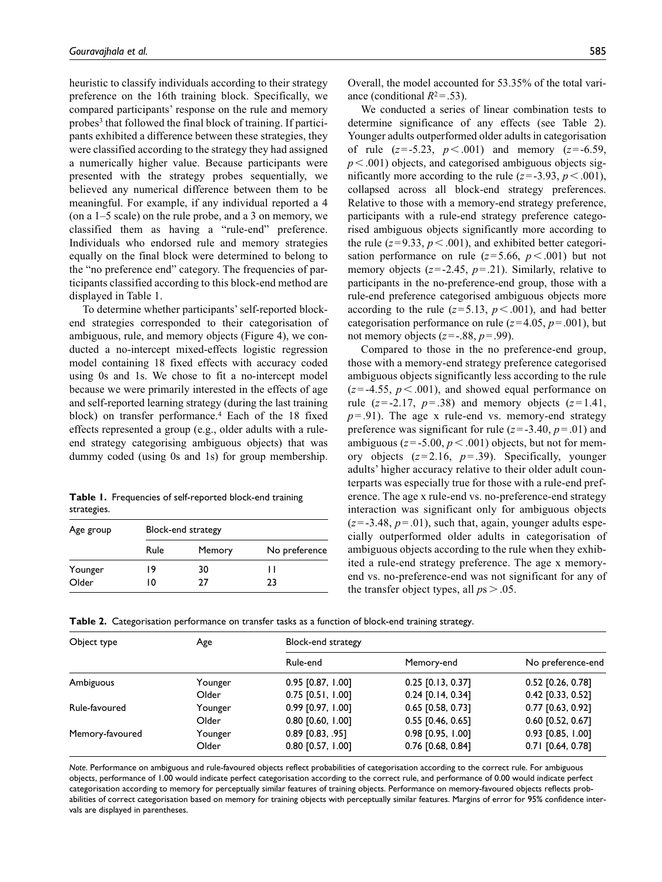heuristic to classify individuals according to their strategy preference on the 16th training block. Specifically, we compared participants' response on the rule and memory probes3 that followed the final block of training. If participants exhibited a difference between these strategies, they were classified according to the strategy they had assigned a numerically higher value. Because participants were presented with the strategy probes sequentially, we believed any numerical difference between them to be meaningful. For example, if any individual reported a 4 (on a 1–5 scale) on the rule probe, and a 3 on memory, we classified them as having a "rule-end" preference. Individuals who endorsed rule and memory strategies equally on the final block were determined to belong to the "no preference end" category. The frequencies of participants classified according to this block-end method are displayed in Table 1.

To determine whether participants' self-reported blockend strategies corresponded to their categorisation of ambiguous, rule, and memory objects (Figure 4), we conducted a no-intercept mixed-effects logistic regression model containing 18 fixed effects with accuracy coded using 0s and 1s. We chose to fit a no-intercept model because we were primarily interested in the effects of age and self-reported learning strategy (during the last training block) on transfer performance.4 Each of the 18 fixed effects represented a group (e.g., older adults with a ruleend strategy categorising ambiguous objects) that was dummy coded (using 0s and 1s) for group membership.

|             | Table 1. Frequencies of self-reported block-end training |  |
|-------------|----------------------------------------------------------|--|
| strategies. |                                                          |  |

| Age group | Block-end strategy |        |               |  |
|-----------|--------------------|--------|---------------|--|
|           | Rule               | Memory | No preference |  |
| Younger   | 19                 | 30     | ш             |  |
| Older     | 10                 | 77     | 23            |  |

Overall, the model accounted for 53.35% of the total variance (conditional  $R^2 = .53$ ).

We conducted a series of linear combination tests to determine significance of any effects (see Table 2). Younger adults outperformed older adults in categorisation of rule (*z*=-5.23, *p*<.001) and memory (*z*=-6.59,  $p<.001$ ) objects, and categorised ambiguous objects significantly more according to the rule  $(z=3.93, p<.001)$ , collapsed across all block-end strategy preferences. Relative to those with a memory-end strategy preference, participants with a rule-end strategy preference categorised ambiguous objects significantly more according to the rule  $(z=9.33, p<.001)$ , and exhibited better categorisation performance on rule  $(z=5.66, p<.001)$  but not memory objects (*z*=-2.45, *p*=.21). Similarly, relative to participants in the no-preference-end group, those with a rule-end preference categorised ambiguous objects more according to the rule  $(z=5.13, p<.001)$ , and had better categorisation performance on rule ( $z=4.05$ ,  $p=.001$ ), but not memory objects  $(z=.88, p=.99)$ .

Compared to those in the no preference-end group, those with a memory-end strategy preference categorised ambiguous objects significantly less according to the rule  $(z = -4.55, p < 0.01)$ , and showed equal performance on rule  $(z=2.17, p=.38)$  and memory objects  $(z=1.41,$  $p = .91$ ). The age x rule-end vs. memory-end strategy preference was significant for rule  $(z=3.40, p=.01)$  and ambiguous ( $z = -5.00$ ,  $p < .001$ ) objects, but not for memory objects  $(z=2.16, p=.39)$ . Specifically, younger adults' higher accuracy relative to their older adult counterparts was especially true for those with a rule-end preference. The age x rule-end vs. no-preference-end strategy interaction was significant only for ambiguous objects  $(z = -3.48, p = .01)$ , such that, again, younger adults especially outperformed older adults in categorisation of ambiguous objects according to the rule when they exhibited a rule-end strategy preference. The age x memoryend vs. no-preference-end was not significant for any of the transfer object types, all  $ps > .05$ .

| Table 2. Categorisation performance on transfer tasks as a function of block-end training strategy. |  |  |  |  |  |  |  |  |
|-----------------------------------------------------------------------------------------------------|--|--|--|--|--|--|--|--|
|-----------------------------------------------------------------------------------------------------|--|--|--|--|--|--|--|--|

| Object type     | Age     | Block-end strategy  |                     |                     |  |
|-----------------|---------|---------------------|---------------------|---------------------|--|
|                 |         | Rule-end            | Memory-end          | No preference-end   |  |
| Ambiguous       | Younger | $0.95$ [0.87, 1.00] | $0.25$ [0.13, 0.37] | $0.52$ [0.26, 0.78] |  |
|                 | Older   | $0.75$ [0.51, 1.00] | $0.24$ [0.14, 0.34] | 0.42 [0.33, 0.52]   |  |
| Rule-favoured   | Younger | $0.99$ [0.97, 1.00] | $0.65$ [0.58, 0.73] | $0.77$ [0.63, 0.92] |  |
|                 | Older   | $0.80$ [0.60, 1.00] | $0.55$ [0.46, 0.65] | $0.60$ [0.52, 0.67] |  |
| Memory-favoured | Younger | $0.89$ [0.83, .95]  | $0.98$ [0.95, 1.00] | 0.93 [0.85, 1.00]   |  |
|                 | Older   | $0.80$ [0.57, 1.00] | $0.76$ [0.68, 0.84] | $0.71$ [0.64, 0.78] |  |

*Note*. Performance on ambiguous and rule-favoured objects reflect probabilities of categorisation according to the correct rule. For ambiguous objects, performance of 1.00 would indicate perfect categorisation according to the correct rule, and performance of 0.00 would indicate perfect categorisation according to memory for perceptually similar features of training objects. Performance on memory-favoured objects reflects probabilities of correct categorisation based on memory for training objects with perceptually similar features. Margins of error for 95% confidence intervals are displayed in parentheses.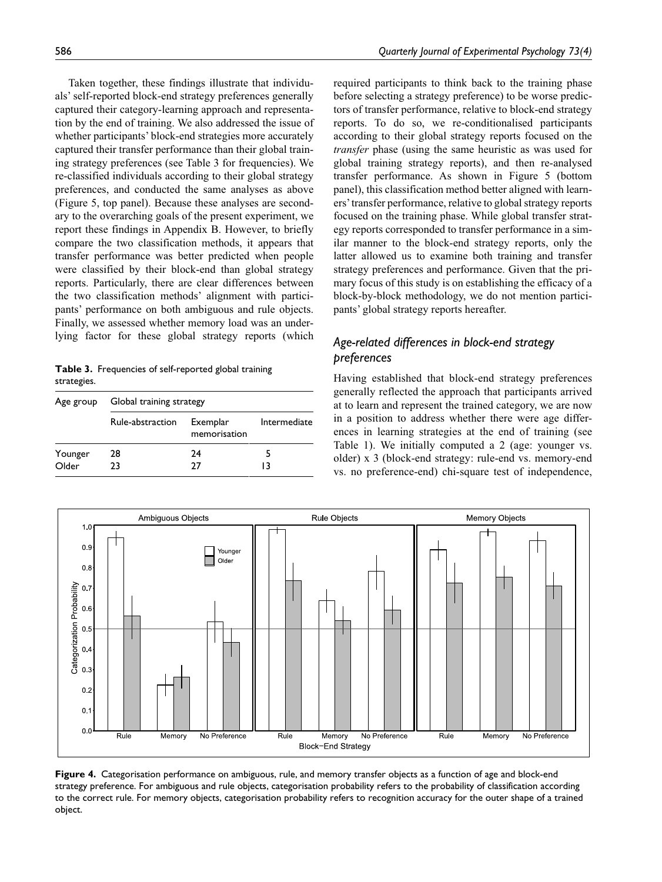Taken together, these findings illustrate that individuals' self-reported block-end strategy preferences generally captured their category-learning approach and representation by the end of training. We also addressed the issue of whether participants' block-end strategies more accurately captured their transfer performance than their global training strategy preferences (see Table 3 for frequencies). We re-classified individuals according to their global strategy preferences, and conducted the same analyses as above (Figure 5, top panel). Because these analyses are secondary to the overarching goals of the present experiment, we report these findings in Appendix B. However, to briefly compare the two classification methods, it appears that transfer performance was better predicted when people were classified by their block-end than global strategy reports. Particularly, there are clear differences between the two classification methods' alignment with participants' performance on both ambiguous and rule objects. Finally, we assessed whether memory load was an underlying factor for these global strategy reports (which

**Table 3.** Frequencies of self-reported global training strategies.

| Age group        | Global training strategy |                          |              |  |
|------------------|--------------------------|--------------------------|--------------|--|
|                  | Rule-abstraction         | Exemplar<br>memorisation | Intermediate |  |
| Younger<br>Older | 28<br>23                 | 24<br>77                 | 13           |  |

required participants to think back to the training phase before selecting a strategy preference) to be worse predictors of transfer performance, relative to block-end strategy reports. To do so, we re-conditionalised participants according to their global strategy reports focused on the *transfer* phase (using the same heuristic as was used for global training strategy reports), and then re-analysed transfer performance. As shown in Figure 5 (bottom panel), this classification method better aligned with learners' transfer performance, relative to global strategy reports focused on the training phase. While global transfer strategy reports corresponded to transfer performance in a similar manner to the block-end strategy reports, only the latter allowed us to examine both training and transfer strategy preferences and performance. Given that the primary focus of this study is on establishing the efficacy of a block-by-block methodology, we do not mention participants' global strategy reports hereafter.

## *Age-related differences in block-end strategy preferences*

Having established that block-end strategy preferences generally reflected the approach that participants arrived at to learn and represent the trained category, we are now in a position to address whether there were age differences in learning strategies at the end of training (see Table 1). We initially computed a 2 (age: younger vs. older) x 3 (block-end strategy: rule-end vs. memory-end vs. no preference-end) chi-square test of independence,



**Figure 4.** Categorisation performance on ambiguous, rule, and memory transfer objects as a function of age and block-end strategy preference. For ambiguous and rule objects, categorisation probability refers to the probability of classification according to the correct rule. For memory objects, categorisation probability refers to recognition accuracy for the outer shape of a trained object.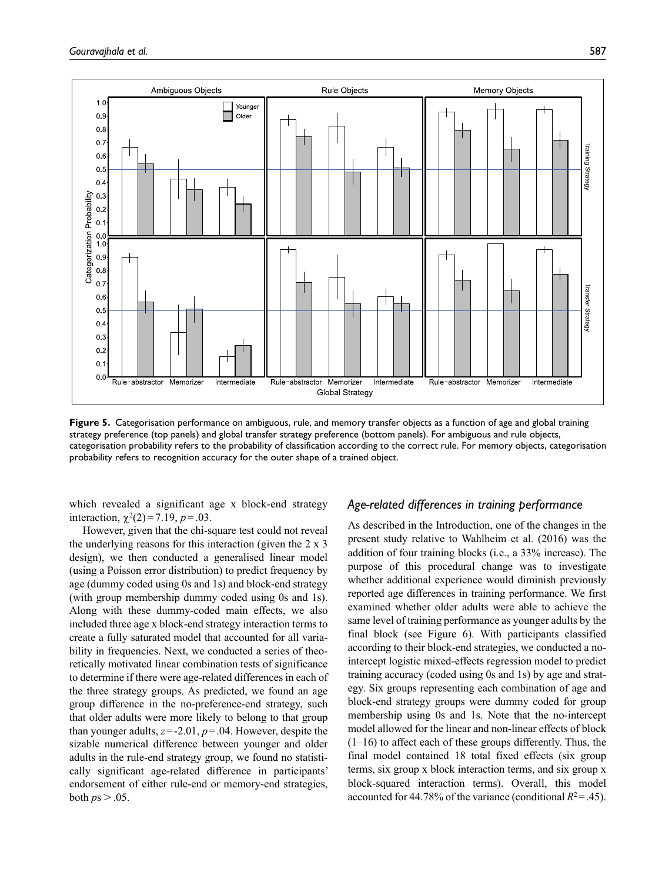

**Figure 5.** Categorisation performance on ambiguous, rule, and memory transfer objects as a function of age and global training strategy preference (top panels) and global transfer strategy preference (bottom panels). For ambiguous and rule objects, categorisation probability refers to the probability of classification according to the correct rule. For memory objects, categorisation probability refers to recognition accuracy for the outer shape of a trained object.

which revealed a significant age x block-end strategy interaction,  $\chi^2(2)=7.19$ ,  $p=.03$ .

However, given that the chi-square test could not reveal the underlying reasons for this interaction (given the 2 x 3 design), we then conducted a generalised linear model (using a Poisson error distribution) to predict frequency by age (dummy coded using 0s and 1s) and block-end strategy (with group membership dummy coded using 0s and 1s). Along with these dummy-coded main effects, we also included three age x block-end strategy interaction terms to create a fully saturated model that accounted for all variability in frequencies. Next, we conducted a series of theoretically motivated linear combination tests of significance to determine if there were age-related differences in each of the three strategy groups. As predicted, we found an age group difference in the no-preference-end strategy, such that older adults were more likely to belong to that group than younger adults, *z*=-2.01, *p*=.04. However, despite the sizable numerical difference between younger and older adults in the rule-end strategy group, we found no statistically significant age-related difference in participants' endorsement of either rule-end or memory-end strategies, both  $ps > .05$ .

## *Age-related differences in training performance*

As described in the Introduction, one of the changes in the present study relative to Wahlheim et al. (2016) was the addition of four training blocks (i.e., a 33% increase). The purpose of this procedural change was to investigate whether additional experience would diminish previously reported age differences in training performance. We first examined whether older adults were able to achieve the same level of training performance as younger adults by the final block (see Figure 6). With participants classified according to their block-end strategies, we conducted a nointercept logistic mixed-effects regression model to predict training accuracy (coded using 0s and 1s) by age and strategy. Six groups representing each combination of age and block-end strategy groups were dummy coded for group membership using 0s and 1s. Note that the no-intercept model allowed for the linear and non-linear effects of block  $(1-16)$  to affect each of these groups differently. Thus, the final model contained 18 total fixed effects (six group terms, six group x block interaction terms, and six group x block-squared interaction terms). Overall, this model accounted for 44.78% of the variance (conditional  $R^2 = .45$ ).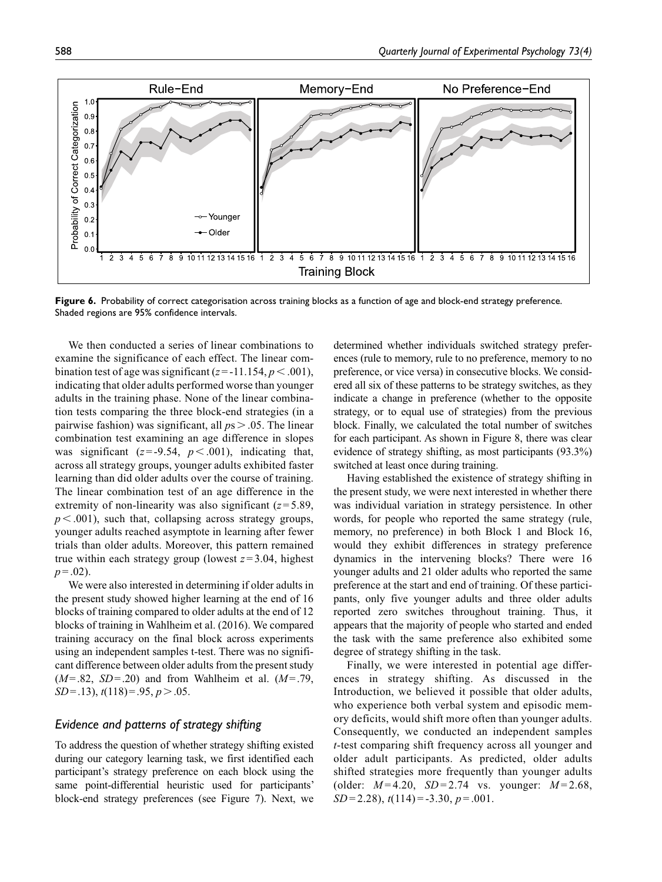

Figure 6. Probability of correct categorisation across training blocks as a function of age and block-end strategy preference. Shaded regions are 95% confidence intervals.

We then conducted a series of linear combinations to examine the significance of each effect. The linear combination test of age was significant  $(z = -11.154, p < .001)$ , indicating that older adults performed worse than younger adults in the training phase. None of the linear combination tests comparing the three block-end strategies (in a pairwise fashion) was significant, all *p*s > .05. The linear combination test examining an age difference in slopes was significant  $(z = -9.54, p < .001)$ , indicating that, across all strategy groups, younger adults exhibited faster learning than did older adults over the course of training. The linear combination test of an age difference in the extremity of non-linearity was also significant  $(z=5.89, z=0.01)$  $p < .001$ ), such that, collapsing across strategy groups, younger adults reached asymptote in learning after fewer trials than older adults. Moreover, this pattern remained true within each strategy group (lowest  $z = 3.04$ , highest  $p = .02$ ).

We were also interested in determining if older adults in the present study showed higher learning at the end of 16 blocks of training compared to older adults at the end of 12 blocks of training in Wahlheim et al. (2016). We compared training accuracy on the final block across experiments using an independent samples t-test. There was no significant difference between older adults from the present study (*M*=.82, *SD*=.20) and from Wahlheim et al. (*M*=.79, *SD*=.13), *t*(118)=.95, *p*>.05.

## *Evidence and patterns of strategy shifting*

To address the question of whether strategy shifting existed during our category learning task, we first identified each participant's strategy preference on each block using the same point-differential heuristic used for participants' block-end strategy preferences (see Figure 7). Next, we determined whether individuals switched strategy preferences (rule to memory, rule to no preference, memory to no preference, or vice versa) in consecutive blocks. We considered all six of these patterns to be strategy switches, as they indicate a change in preference (whether to the opposite strategy, or to equal use of strategies) from the previous block. Finally, we calculated the total number of switches for each participant. As shown in Figure 8, there was clear evidence of strategy shifting, as most participants (93.3%) switched at least once during training.

Having established the existence of strategy shifting in the present study, we were next interested in whether there was individual variation in strategy persistence. In other words, for people who reported the same strategy (rule, memory, no preference) in both Block 1 and Block 16, would they exhibit differences in strategy preference dynamics in the intervening blocks? There were 16 younger adults and 21 older adults who reported the same preference at the start and end of training. Of these participants, only five younger adults and three older adults reported zero switches throughout training. Thus, it appears that the majority of people who started and ended the task with the same preference also exhibited some degree of strategy shifting in the task.

Finally, we were interested in potential age differences in strategy shifting. As discussed in the Introduction, we believed it possible that older adults, who experience both verbal system and episodic memory deficits, would shift more often than younger adults. Consequently, we conducted an independent samples *t*-test comparing shift frequency across all younger and older adult participants. As predicted, older adults shifted strategies more frequently than younger adults (older: *M* = 4.20, *SD* = 2.74 vs. younger: *M* = 2.68, *SD* = 2.28), *t*(114) = -3.30, *p* = .001.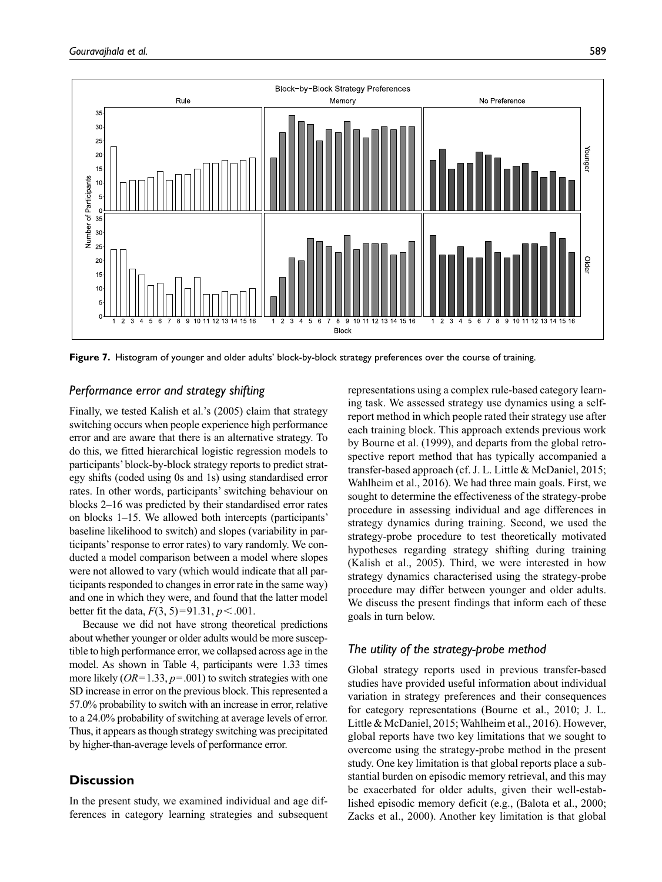



**Figure 7.** Histogram of younger and older adults' block-by-block strategy preferences over the course of training.

## *Performance error and strategy shifting*

Finally, we tested Kalish et al.'s (2005) claim that strategy switching occurs when people experience high performance error and are aware that there is an alternative strategy. To do this, we fitted hierarchical logistic regression models to participants' block-by-block strategy reports to predict strategy shifts (coded using 0s and 1s) using standardised error rates. In other words, participants' switching behaviour on blocks 2–16 was predicted by their standardised error rates on blocks 1–15. We allowed both intercepts (participants' baseline likelihood to switch) and slopes (variability in participants' response to error rates) to vary randomly. We conducted a model comparison between a model where slopes were not allowed to vary (which would indicate that all participants responded to changes in error rate in the same way) and one in which they were, and found that the latter model better fit the data,  $F(3, 5) = 91.31, p < .001$ .

Because we did not have strong theoretical predictions about whether younger or older adults would be more susceptible to high performance error, we collapsed across age in the model. As shown in Table 4, participants were 1.33 times more likely (*OR*=1.33, *p*=.001) to switch strategies with one SD increase in error on the previous block. This represented a 57.0% probability to switch with an increase in error, relative to a 24.0% probability of switching at average levels of error. Thus, it appears as though strategy switching was precipitated by higher-than-average levels of performance error.

## **Discussion**

In the present study, we examined individual and age differences in category learning strategies and subsequent

representations using a complex rule-based category learning task. We assessed strategy use dynamics using a selfreport method in which people rated their strategy use after each training block. This approach extends previous work by Bourne et al. (1999), and departs from the global retrospective report method that has typically accompanied a transfer-based approach (cf. J. L. Little & McDaniel, 2015; Wahlheim et al., 2016). We had three main goals. First, we sought to determine the effectiveness of the strategy-probe procedure in assessing individual and age differences in strategy dynamics during training. Second, we used the strategy-probe procedure to test theoretically motivated hypotheses regarding strategy shifting during training (Kalish et al., 2005). Third, we were interested in how strategy dynamics characterised using the strategy-probe procedure may differ between younger and older adults. We discuss the present findings that inform each of these goals in turn below.

## *The utility of the strategy-probe method*

Global strategy reports used in previous transfer-based studies have provided useful information about individual variation in strategy preferences and their consequences for category representations (Bourne et al., 2010; J. L. Little & McDaniel, 2015; Wahlheim et al., 2016). However, global reports have two key limitations that we sought to overcome using the strategy-probe method in the present study. One key limitation is that global reports place a substantial burden on episodic memory retrieval, and this may be exacerbated for older adults, given their well-established episodic memory deficit (e.g., (Balota et al., 2000; Zacks et al., 2000). Another key limitation is that global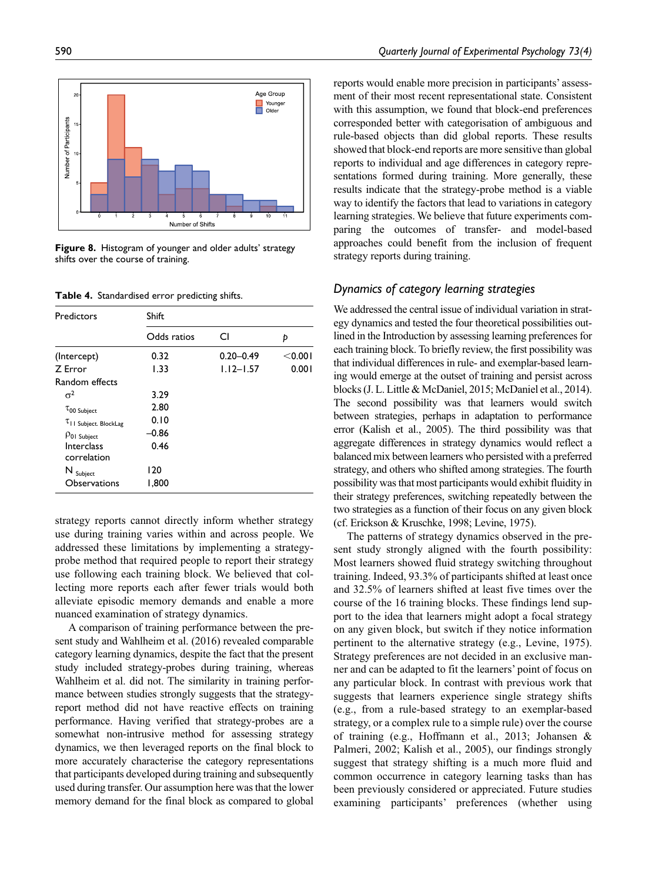

**Figure 8.** Histogram of younger and older adults' strategy shifts over the course of training.

**Table 4.** Standardised error predicting shifts.

| Predictors                             | Shift       |               |         |  |
|----------------------------------------|-------------|---------------|---------|--|
|                                        | Odds ratios | СI            | Þ       |  |
| (Intercept)                            | 0.32        | $0.20 - 0.49$ | < 0.001 |  |
| Z Error                                | 1.33        | $1.12 - 1.57$ | 0.001   |  |
| Random effects                         |             |               |         |  |
| $\sigma^2$                             | 3.29        |               |         |  |
| $\tau$ 00 Subject                      | 2.80        |               |         |  |
| $\tau$ <sub>II</sub> Subject. BlockLag | 0.10        |               |         |  |
| P01 Subject                            | $-0.86$     |               |         |  |
| Interclass                             | 0.46        |               |         |  |
| correlation                            |             |               |         |  |
| $\mathsf{N}\xspace_{\mathsf{Subject}}$ | 120         |               |         |  |
| <b>Observations</b>                    | 1,800       |               |         |  |

strategy reports cannot directly inform whether strategy use during training varies within and across people. We addressed these limitations by implementing a strategyprobe method that required people to report their strategy use following each training block. We believed that collecting more reports each after fewer trials would both alleviate episodic memory demands and enable a more nuanced examination of strategy dynamics.

A comparison of training performance between the present study and Wahlheim et al. (2016) revealed comparable category learning dynamics, despite the fact that the present study included strategy-probes during training, whereas Wahlheim et al. did not. The similarity in training performance between studies strongly suggests that the strategyreport method did not have reactive effects on training performance. Having verified that strategy-probes are a somewhat non-intrusive method for assessing strategy dynamics, we then leveraged reports on the final block to more accurately characterise the category representations that participants developed during training and subsequently used during transfer. Our assumption here was that the lower memory demand for the final block as compared to global reports would enable more precision in participants' assessment of their most recent representational state. Consistent with this assumption, we found that block-end preferences corresponded better with categorisation of ambiguous and rule-based objects than did global reports. These results showed that block-end reports are more sensitive than global reports to individual and age differences in category representations formed during training. More generally, these results indicate that the strategy-probe method is a viable way to identify the factors that lead to variations in category learning strategies. We believe that future experiments comparing the outcomes of transfer- and model-based approaches could benefit from the inclusion of frequent strategy reports during training.

## *Dynamics of category learning strategies*

We addressed the central issue of individual variation in strategy dynamics and tested the four theoretical possibilities outlined in the Introduction by assessing learning preferences for each training block. To briefly review, the first possibility was that individual differences in rule- and exemplar-based learning would emerge at the outset of training and persist across blocks (J. L. Little & McDaniel, 2015; McDaniel et al., 2014). The second possibility was that learners would switch between strategies, perhaps in adaptation to performance error (Kalish et al., 2005). The third possibility was that aggregate differences in strategy dynamics would reflect a balanced mix between learners who persisted with a preferred strategy, and others who shifted among strategies. The fourth possibility was that most participants would exhibit fluidity in their strategy preferences, switching repeatedly between the two strategies as a function of their focus on any given block (cf. Erickson & Kruschke, 1998; Levine, 1975).

The patterns of strategy dynamics observed in the present study strongly aligned with the fourth possibility: Most learners showed fluid strategy switching throughout training. Indeed, 93.3% of participants shifted at least once and 32.5% of learners shifted at least five times over the course of the 16 training blocks. These findings lend support to the idea that learners might adopt a focal strategy on any given block, but switch if they notice information pertinent to the alternative strategy (e.g., Levine, 1975). Strategy preferences are not decided in an exclusive manner and can be adapted to fit the learners' point of focus on any particular block. In contrast with previous work that suggests that learners experience single strategy shifts (e.g., from a rule-based strategy to an exemplar-based strategy, or a complex rule to a simple rule) over the course of training (e.g., Hoffmann et al., 2013; Johansen & Palmeri, 2002; Kalish et al., 2005), our findings strongly suggest that strategy shifting is a much more fluid and common occurrence in category learning tasks than has been previously considered or appreciated. Future studies examining participants' preferences (whether using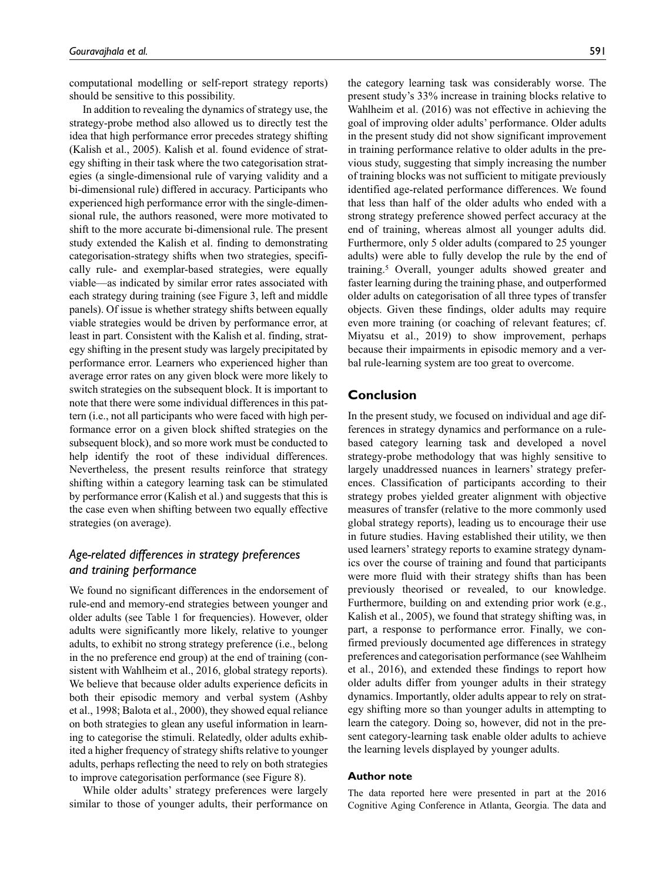computational modelling or self-report strategy reports) should be sensitive to this possibility.

In addition to revealing the dynamics of strategy use, the strategy-probe method also allowed us to directly test the idea that high performance error precedes strategy shifting (Kalish et al., 2005). Kalish et al. found evidence of strategy shifting in their task where the two categorisation strategies (a single-dimensional rule of varying validity and a bi-dimensional rule) differed in accuracy. Participants who experienced high performance error with the single-dimensional rule, the authors reasoned, were more motivated to shift to the more accurate bi-dimensional rule. The present study extended the Kalish et al. finding to demonstrating categorisation-strategy shifts when two strategies, specifically rule- and exemplar-based strategies, were equally viable—as indicated by similar error rates associated with each strategy during training (see Figure 3, left and middle panels). Of issue is whether strategy shifts between equally viable strategies would be driven by performance error, at least in part. Consistent with the Kalish et al. finding, strategy shifting in the present study was largely precipitated by performance error. Learners who experienced higher than average error rates on any given block were more likely to switch strategies on the subsequent block. It is important to note that there were some individual differences in this pattern (i.e., not all participants who were faced with high performance error on a given block shifted strategies on the subsequent block), and so more work must be conducted to help identify the root of these individual differences. Nevertheless, the present results reinforce that strategy shifting within a category learning task can be stimulated by performance error (Kalish et al.) and suggests that this is the case even when shifting between two equally effective strategies (on average).

## *Age-related differences in strategy preferences and training performance*

We found no significant differences in the endorsement of rule-end and memory-end strategies between younger and older adults (see Table 1 for frequencies). However, older adults were significantly more likely, relative to younger adults, to exhibit no strong strategy preference (i.e., belong in the no preference end group) at the end of training (consistent with Wahlheim et al., 2016, global strategy reports). We believe that because older adults experience deficits in both their episodic memory and verbal system (Ashby et al., 1998; Balota et al., 2000), they showed equal reliance on both strategies to glean any useful information in learning to categorise the stimuli. Relatedly, older adults exhibited a higher frequency of strategy shifts relative to younger adults, perhaps reflecting the need to rely on both strategies to improve categorisation performance (see Figure 8).

While older adults' strategy preferences were largely similar to those of younger adults, their performance on

the category learning task was considerably worse. The present study's 33% increase in training blocks relative to Wahlheim et al. (2016) was not effective in achieving the goal of improving older adults' performance. Older adults in the present study did not show significant improvement in training performance relative to older adults in the previous study, suggesting that simply increasing the number of training blocks was not sufficient to mitigate previously identified age-related performance differences. We found that less than half of the older adults who ended with a strong strategy preference showed perfect accuracy at the end of training, whereas almost all younger adults did. Furthermore, only 5 older adults (compared to 25 younger adults) were able to fully develop the rule by the end of training.5 Overall, younger adults showed greater and faster learning during the training phase, and outperformed older adults on categorisation of all three types of transfer objects. Given these findings, older adults may require even more training (or coaching of relevant features; cf. Miyatsu et al., 2019) to show improvement, perhaps because their impairments in episodic memory and a verbal rule-learning system are too great to overcome.

## **Conclusion**

In the present study, we focused on individual and age differences in strategy dynamics and performance on a rulebased category learning task and developed a novel strategy-probe methodology that was highly sensitive to largely unaddressed nuances in learners' strategy preferences. Classification of participants according to their strategy probes yielded greater alignment with objective measures of transfer (relative to the more commonly used global strategy reports), leading us to encourage their use in future studies. Having established their utility, we then used learners' strategy reports to examine strategy dynamics over the course of training and found that participants were more fluid with their strategy shifts than has been previously theorised or revealed, to our knowledge. Furthermore, building on and extending prior work (e.g., Kalish et al., 2005), we found that strategy shifting was, in part, a response to performance error. Finally, we confirmed previously documented age differences in strategy preferences and categorisation performance (see Wahlheim et al., 2016), and extended these findings to report how older adults differ from younger adults in their strategy dynamics. Importantly, older adults appear to rely on strategy shifting more so than younger adults in attempting to learn the category. Doing so, however, did not in the present category-learning task enable older adults to achieve the learning levels displayed by younger adults.

#### **Author note**

The data reported here were presented in part at the 2016 Cognitive Aging Conference in Atlanta, Georgia. The data and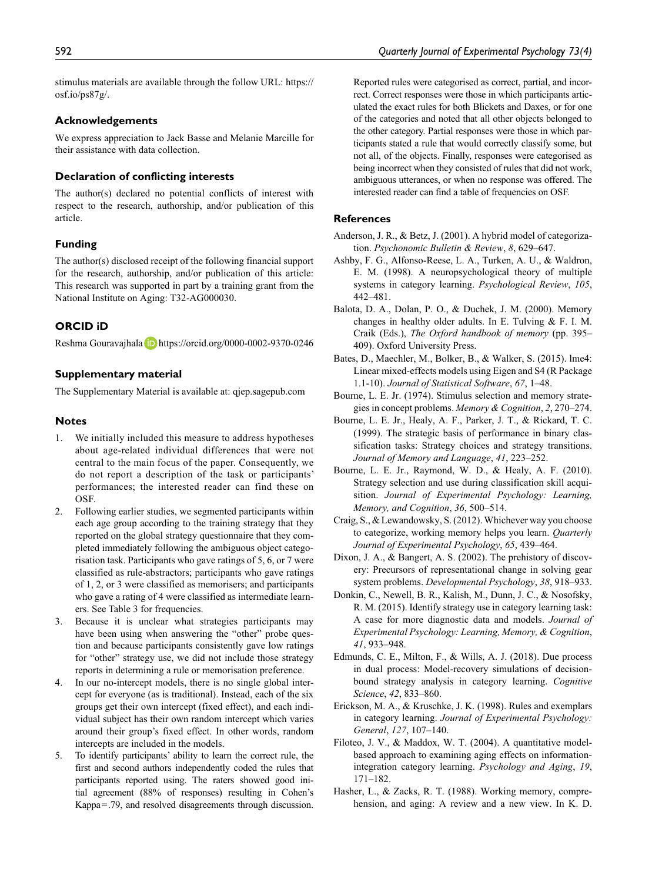stimulus materials are available through the follow URL: [https://](https://osf.io/ps87g/) [osf.io/ps87g/](https://osf.io/ps87g/).

#### **Acknowledgements**

We express appreciation to Jack Basse and Melanie Marcille for their assistance with data collection.

#### **Declaration of conflicting interests**

The author(s) declared no potential conflicts of interest with respect to the research, authorship, and/or publication of this article.

## **Funding**

The author(s) disclosed receipt of the following financial support for the research, authorship, and/or publication of this article: This research was supported in part by a training grant from the National Institute on Aging: T32-AG000030.

#### **ORCID iD**

Reshma Gouravajhala D <https://orcid.org/0000-0002-9370-0246>

#### **Supplementary material**

The Supplementary Material is available at: [qjep.sagepub.com](http://qjep.sagepub.com)

#### **Notes**

- 1. We initially included this measure to address hypotheses about age-related individual differences that were not central to the main focus of the paper. Consequently, we do not report a description of the task or participants' performances; the interested reader can find these on OSF.
- 2. Following earlier studies, we segmented participants within each age group according to the training strategy that they reported on the global strategy questionnaire that they completed immediately following the ambiguous object categorisation task. Participants who gave ratings of 5, 6, or 7 were classified as rule-abstractors; participants who gave ratings of 1, 2, or 3 were classified as memorisers; and participants who gave a rating of 4 were classified as intermediate learners. See Table 3 for frequencies.
- 3. Because it is unclear what strategies participants may have been using when answering the "other" probe question and because participants consistently gave low ratings for "other" strategy use, we did not include those strategy reports in determining a rule or memorisation preference.
- 4. In our no-intercept models, there is no single global intercept for everyone (as is traditional). Instead, each of the six groups get their own intercept (fixed effect), and each individual subject has their own random intercept which varies around their group's fixed effect. In other words, random intercepts are included in the models.
- 5. To identify participants' ability to learn the correct rule, the first and second authors independently coded the rules that participants reported using. The raters showed good initial agreement (88% of responses) resulting in Cohen's Kappa=.79, and resolved disagreements through discussion.

Reported rules were categorised as correct, partial, and incorrect. Correct responses were those in which participants articulated the exact rules for both Blickets and Daxes, or for one of the categories and noted that all other objects belonged to the other category. Partial responses were those in which participants stated a rule that would correctly classify some, but not all, of the objects. Finally, responses were categorised as being incorrect when they consisted of rules that did not work, ambiguous utterances, or when no response was offered. The interested reader can find a table of frequencies on OSF.

#### **References**

- Anderson, J. R., & Betz, J. (2001). A hybrid model of categorization. *Psychonomic Bulletin & Review*, *8*, 629–647.
- Ashby, F. G., Alfonso-Reese, L. A., Turken, A. U., & Waldron, E. M. (1998). A neuropsychological theory of multiple systems in category learning. *Psychological Review*, *105*, 442–481.
- Balota, D. A., Dolan, P. O., & Duchek, J. M. (2000). Memory changes in healthy older adults. In E. Tulving & F. I. M. Craik (Eds.), *The Oxford handbook of memory* (pp. 395– 409). Oxford University Press.
- Bates, D., Maechler, M., Bolker, B., & Walker, S. (2015). lme4: Linear mixed-effects models using Eigen and S4 (R Package 1.1-10). *Journal of Statistical Software*, *67*, 1–48.
- Bourne, L. E. Jr. (1974). Stimulus selection and memory strategies in concept problems. *Memory & Cognition*, *2*, 270–274.
- Bourne, L. E. Jr., Healy, A. F., Parker, J. T., & Rickard, T. C. (1999). The strategic basis of performance in binary classification tasks: Strategy choices and strategy transitions. *Journal of Memory and Language*, *41*, 223–252.
- Bourne, L. E. Jr., Raymond, W. D., & Healy, A. F. (2010). Strategy selection and use during classification skill acquisition. *Journal of Experimental Psychology: Learning, Memory, and Cognition*, *36*, 500–514.
- Craig, S., & Lewandowsky, S. (2012). Whichever way you choose to categorize, working memory helps you learn. *Quarterly Journal of Experimental Psychology*, *65*, 439–464.
- Dixon, J. A., & Bangert, A. S. (2002). The prehistory of discovery: Precursors of representational change in solving gear system problems. *Developmental Psychology*, *38*, 918–933.
- Donkin, C., Newell, B. R., Kalish, M., Dunn, J. C., & Nosofsky, R. M. (2015). Identify strategy use in category learning task: A case for more diagnostic data and models. *Journal of Experimental Psychology: Learning, Memory, & Cognition*, *41*, 933–948.
- Edmunds, C. E., Milton, F., & Wills, A. J. (2018). Due process in dual process: Model-recovery simulations of decisionbound strategy analysis in category learning. *Cognitive Science*, *42*, 833–860.
- Erickson, M. A., & Kruschke, J. K. (1998). Rules and exemplars in category learning. *Journal of Experimental Psychology: General*, *127*, 107–140.
- Filoteo, J. V., & Maddox, W. T. (2004). A quantitative modelbased approach to examining aging effects on informationintegration category learning. *Psychology and Aging*, *19*, 171–182.
- Hasher, L., & Zacks, R. T. (1988). Working memory, comprehension, and aging: A review and a new view. In K. D.